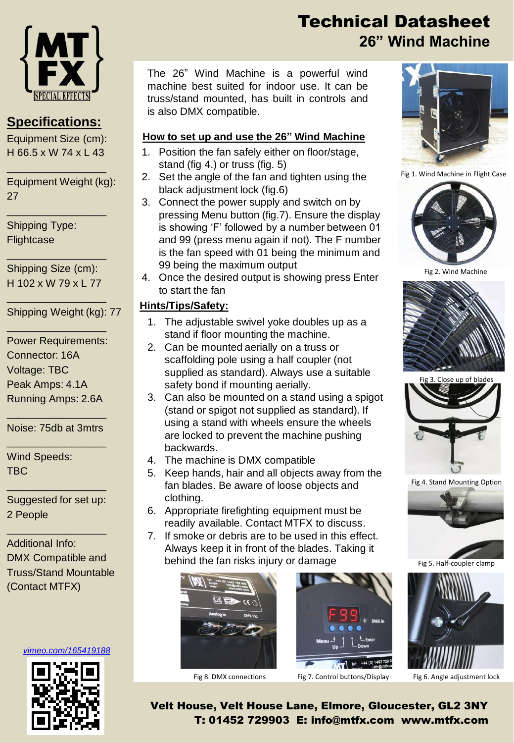

### **Specifications:**

Equipment Size (cm): H 66.5 x W 74 x L 43

\_\_\_\_\_\_\_\_\_\_\_\_\_\_\_\_\_

\_\_\_\_\_\_\_\_\_\_\_\_\_\_\_\_\_

Equipment Weight (kg): 27

Shipping Type: **Flightcase** 

Shipping Size (cm): H 102 x W 79 x L 77

\_\_\_\_\_\_\_\_\_\_\_\_\_\_\_\_\_

\_\_\_\_\_\_\_\_\_\_\_\_\_\_\_\_\_

\_\_\_\_\_\_\_\_\_\_\_\_\_\_\_\_\_

Shipping Weight (kg): 77

Power Requirements: Connector: 16A Voltage: TBC Peak Amps: 4.1A Running Amps: 2.6A

\_\_\_\_\_\_\_\_\_\_\_\_\_\_\_\_\_ Noise: 75db at 3mtrs \_\_\_\_\_\_\_\_\_\_\_\_\_\_\_\_\_

Wind Speeds: TBC

Suggested for set up: 2 People

\_\_\_\_\_\_\_\_\_\_\_\_\_\_\_\_\_

\_\_\_\_\_\_\_\_\_\_\_\_\_\_\_\_\_

Additional Info: DMX Compatible and Truss/Stand Mountable (Contact MTFX)

*[vimeo.com/165419188](https://vimeo.com/165419188)*



# Technical Datasheet **26" Wind Machine**

The 26" Wind Machine is a powerful wind machine best suited for indoor use. It can be truss/stand mounted, has built in controls and is also DMX compatible.

#### **How to set up and use the 26" Wind Machine**

- 1. Position the fan safely either on floor/stage, stand (fig 4.) or truss (fig. 5)
- 2. Set the angle of the fan and tighten using the black adjustment lock (fig.6)
- 3. Connect the power supply and switch on by pressing Menu button (fig.7). Ensure the display is showing 'F' followed by a number between 01 and 99 (press menu again if not). The F number is the fan speed with 01 being the minimum and 99 being the maximum output
- 4. Once the desired output is showing press Enter to start the fan

#### **Hints/Tips/Safety:**

- 1. The adjustable swivel yoke doubles up as a stand if floor mounting the machine.
- 2. Can be mounted aerially on a truss or scaffolding pole using a half coupler (not supplied as standard). Always use a suitable safety bond if mounting aerially.
- 3. Can also be mounted on a stand using a spigot (stand or spigot not supplied as standard). If using a stand with wheels ensure the wheels are locked to prevent the machine pushing backwards.
- 4. The machine is DMX compatible
- 5. Keep hands, hair and all objects away from the fan blades. Be aware of loose objects and clothing.
- 6. Appropriate firefighting equipment must be readily available. Contact MTFX to discuss.
- 7. If smoke or debris are to be used in this effect. Always keep it in front of the blades. Taking it behind the fan risks injury or damage





Fig 8. DMX connections Fig 7. Control buttons/Display Fig 6. Angle adjustment lock



Fig 1. Wind Machine in Flight Case



Fig 2. Wind Machine





Fig 4. Stand Mounting Option



Fig 5. Half-coup



Velt House, Velt House Lane, Elmore, Gloucester, GL2 3NY T: 01452 729903 E: info@mtfx.com www.mtfx.com